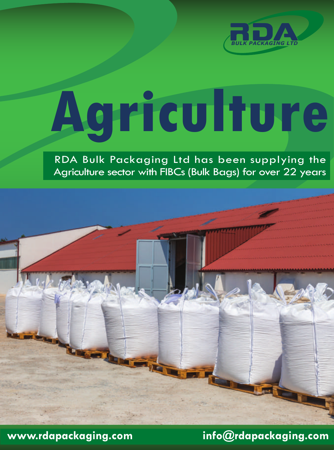

# **Agriculture**

RDA Bulk Packaging Ltd has been supplying the Agriculture sector with FIBCs (Bulk Bags) for over 22 years

**www.rdapackaging.com info@rdapackaging.com**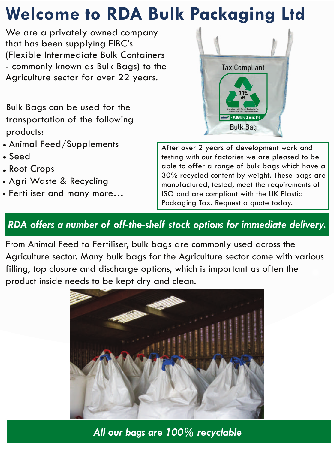## **Welcome to RDA Bulk Packaging Ltd**

We are a privately owned company that has been supplying FIBC's (Flexible Intermediate Bulk Containers - commonly known as Bulk Bags) to the Agriculture sector for over 22 years.

Bulk Bags can be used for the transportation of the following products:

- Animal Feed/Supplements
- Seed
- Root Crops
- Agri Waste & Recycling
- Fertiliser and many more…

After over 2 years of development work and testing with our factories we are pleased to be able to offer a range of bulk bags which have a 30% recycled content by weight. These bags are manufactured, tested, meet the requirements of ISO and are compliant with the UK Plastic Packaging Tax. Request a quote today.

### *RDA offers a number of off-the-shelf stock options for immediate delivery.*

From Animal Feed to Fertiliser, bulk bags are commonly used across the Agriculture sector. Many bulk bags for the Agriculture sector come with various filling, top closure and discharge options, which is important as often the product inside needs to be kept dry and clean.



*All our bags are 100% recyclable* 

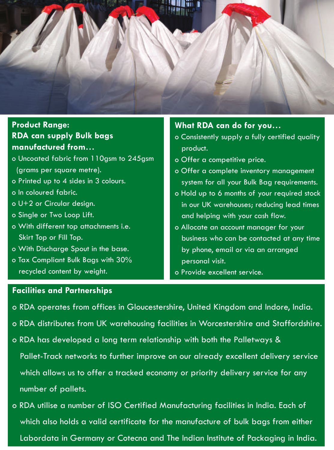

#### **RDA can supply Bulk bags manufactured from… Product Range:**

- o Uncoated fabric from 110gsm to 245gsm (grams per square metre).
- o Printed up to 4 sides in 3 colours.
- o In coloured fabric.
- o U+2 or Circular design.
- o Single or Two Loop Lift.
- o With different top attachments i.e. Skirt Top or Fill Top.
- o With Discharge Spout in the base.
- o Tax Compliant Bulk Bags with 30% recycled content by weight.

#### **What RDA can do for you…**

- o Consistently supply a fully certified quality product.
- o Offer a competitive price.
- o Offer a complete inventory management system for all your Bulk Bag requirements.
- o Hold up to 6 months of your required stock in our UK warehouses; reducing lead times and helping with your cash flow.
- o Allocate an account manager for your business who can be contacted at any time by phone, email or via an arranged personal visit.
- o Provide excellent service.

#### **Facilities and Partnerships**

- o RDA operates from offices in Gloucestershire, United Kingdom and Indore, India.
- o RDA distributes from UK warehousing facilities in Worcestershire and Staffordshire.
- o RDA has developed a long term relationship with both the Palletways & Pallet-Track networks to further improve on our already excellent delivery service which allows us to offer a tracked economy or priority delivery service for any number of pallets.
- o RDA utilise a number of ISO Certified Manufacturing facilities in India. Each of which also holds a valid certificate for the manufacture of bulk bags from either Labordata in Germany or Cotecna and The Indian Institute of Packaging in India.